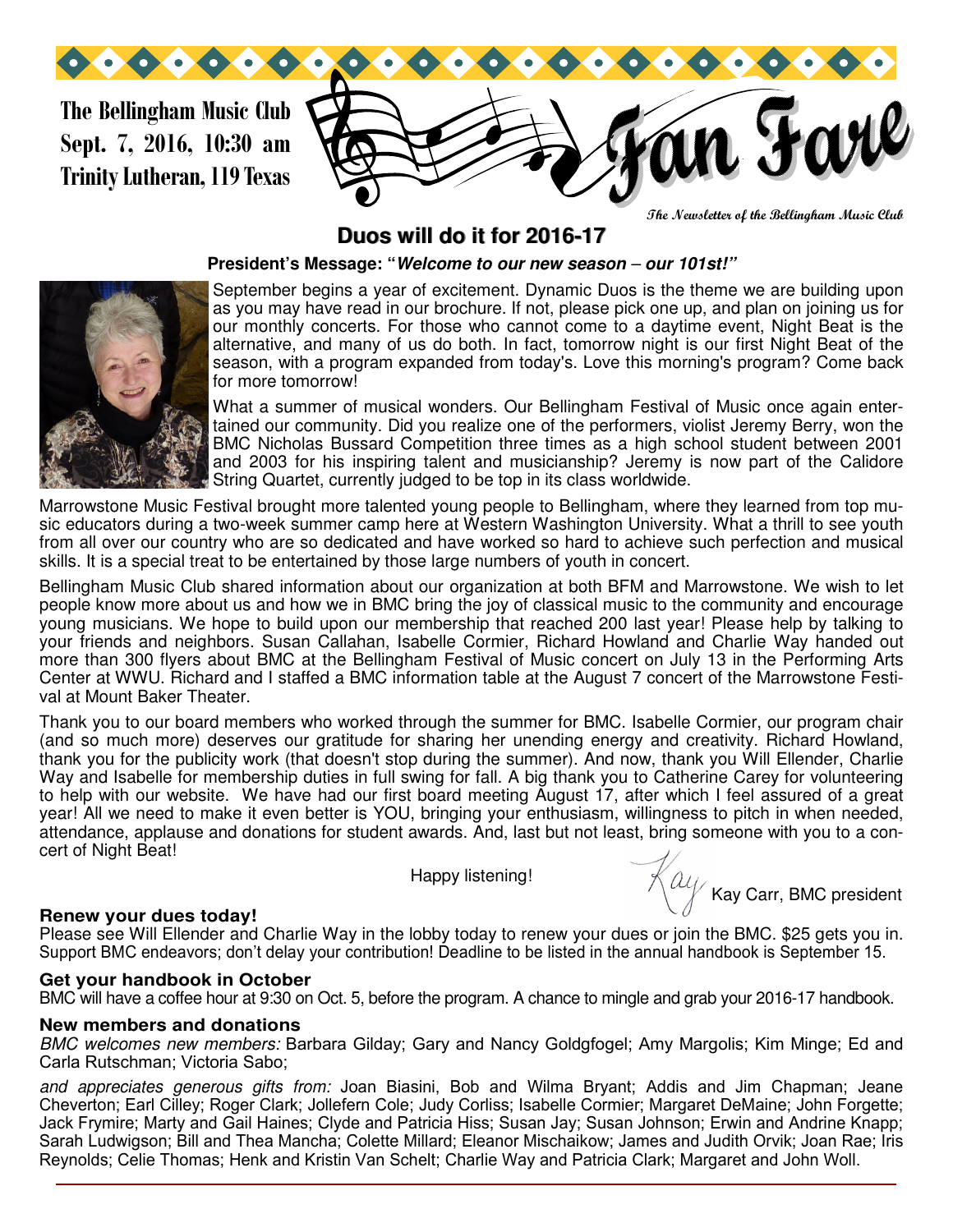**The Bellingham Music Club Sept. 7, 2016, 10:30 am Trinity Lutheran, 119 Texas**



**The Newsletter of the Bellingham Music Club** 

# **Duos will do it for 2016-17**

### **President's Message: "Welcome to our new season** *–* **our 101st!"**



September begins a year of excitement. Dynamic Duos is the theme we are building upon as you may have read in our brochure. If not, please pick one up, and plan on joining us for our monthly concerts. For those who cannot come to a daytime event, Night Beat is the alternative, and many of us do both. In fact, tomorrow night is our first Night Beat of the season, with a program expanded from today's. Love this morning's program? Come back for more tomorrow!

What a summer of musical wonders. Our Bellingham Festival of Music once again entertained our community. Did you realize one of the performers, violist Jeremy Berry, won the BMC Nicholas Bussard Competition three times as a high school student between 2001 and 2003 for his inspiring talent and musicianship? Jeremy is now part of the Calidore String Quartet, currently judged to be top in its class worldwide.

Marrowstone Music Festival brought more talented young people to Bellingham, where they learned from top music educators during a two-week summer camp here at Western Washington University. What a thrill to see youth from all over our country who are so dedicated and have worked so hard to achieve such perfection and musical skills. It is a special treat to be entertained by those large numbers of youth in concert.

Bellingham Music Club shared information about our organization at both BFM and Marrowstone. We wish to let people know more about us and how we in BMC bring the joy of classical music to the community and encourage young musicians. We hope to build upon our membership that reached 200 last year! Please help by talking to your friends and neighbors. Susan Callahan, Isabelle Cormier, Richard Howland and Charlie Way handed out more than 300 flyers about BMC at the Bellingham Festival of Music concert on July 13 in the Performing Arts Center at WWU. Richard and I staffed a BMC information table at the August 7 concert of the Marrowstone Festival at Mount Baker Theater.

Thank you to our board members who worked through the summer for BMC. Isabelle Cormier, our program chair (and so much more) deserves our gratitude for sharing her unending energy and creativity. Richard Howland, thank you for the publicity work (that doesn't stop during the summer). And now, thank you Will Ellender, Charlie Way and Isabelle for membership duties in full swing for fall. A big thank you to Catherine Carey for volunteering to help with our website. We have had our first board meeting August 17, after which I feel assured of a great year! All we need to make it even better is YOU, bringing your enthusiasm, willingness to pitch in when needed, attendance, applause and donations for student awards. And, last but not least, bring someone with you to a concert of Night Beat!

Happy listening!

 $\overline{\mathcal{K}}$ ay Carr, BMC president

#### **Renew your dues today!**

Please see Will Ellender and Charlie Way in the lobby today to renew your dues or join the BMC. \$25 gets you in. Support BMC endeavors; don't delay your contribution! Deadline to be listed in the annual handbook is September 15.

#### **Get your handbook in October**

BMC will have a coffee hour at 9:30 on Oct. 5, before the program. A chance to mingle and grab your 2016-17 handbook.

#### **New members and donations**

*BMC welcomes new members:* Barbara Gilday; Gary and Nancy Goldgfogel; Amy Margolis; Kim Minge; Ed and Carla Rutschman; Victoria Sabo;

*and appreciates generous gifts from:* Joan Biasini, Bob and Wilma Bryant; Addis and Jim Chapman; Jeane Cheverton; Earl Cilley; Roger Clark; Jollefern Cole; Judy Corliss; Isabelle Cormier; Margaret DeMaine; John Forgette; Jack Frymire; Marty and Gail Haines; Clyde and Patricia Hiss; Susan Jay; Susan Johnson; Erwin and Andrine Knapp; Sarah Ludwigson; Bill and Thea Mancha; Colette Millard; Eleanor Mischaikow; James and Judith Orvik; Joan Rae; Iris Reynolds; Celie Thomas; Henk and Kristin Van Schelt; Charlie Way and Patricia Clark; Margaret and John Woll.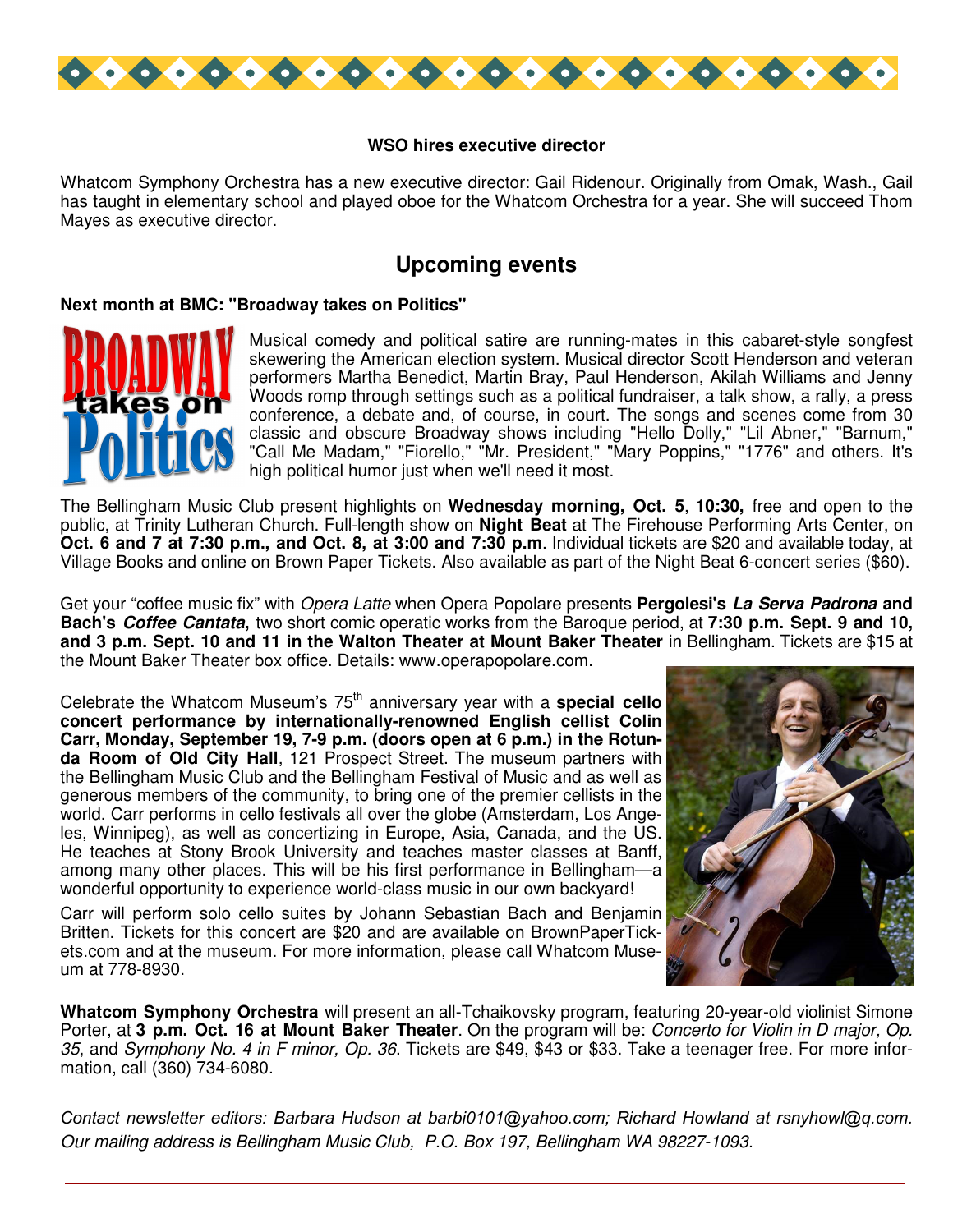

## **WSO hires executive director**

Whatcom Symphony Orchestra has a new executive director: Gail Ridenour. Originally from Omak, Wash., Gail has taught in elementary school and played oboe for the Whatcom Orchestra for a year. She will succeed Thom Mayes as executive director.

# **Upcoming events**

#### **Next month at BMC: "Broadway takes on Politics"**



Musical comedy and political satire are running-mates in this cabaret-style songfest skewering the American election system. Musical director Scott Henderson and veteran performers Martha Benedict, Martin Bray, Paul Henderson, Akilah Williams and Jenny Woods romp through settings such as a political fundraiser, a talk show, a rally, a press conference, a debate and, of course, in court. The songs and scenes come from 30 classic and obscure Broadway shows including "Hello Dolly," "Lil Abner," "Barnum," "Call Me Madam," "Fiorello," "Mr. President," "Mary Poppins," "1776" and others. It's high political humor just when we'll need it most.

The Bellingham Music Club present highlights on **Wednesday morning, Oct. 5**, **10:30,** free and open to the public, at Trinity Lutheran Church. Full-length show on **Night Beat** at The Firehouse Performing Arts Center, on **Oct. 6 and 7 at 7:30 p.m., and Oct. 8, at 3:00 and 7:30 p.m**. Individual tickets are \$20 and available today, at Village Books and online on Brown Paper Tickets. Also available as part of the Night Beat 6-concert series (\$60).

Get your "coffee music fix" with *Opera Latte* when Opera Popolare presents **Pergolesi's La Serva Padrona and Bach's Coffee Cantata,** two short comic operatic works from the Baroque period, at **7:30 p.m. Sept. 9 and 10, and 3 p.m. Sept. 10 and 11 in the Walton Theater at Mount Baker Theater** in Bellingham. Tickets are \$15 at the Mount Baker Theater box office. Details: www.operapopolare.com.

Celebrate the Whatcom Museum's 75<sup>th</sup> anniversary year with a **special cello concert performance by internationally-renowned English cellist Colin Carr, Monday, September 19, 7-9 p.m. (doors open at 6 p.m.) in the Rotunda Room of Old City Hall**, 121 Prospect Street. The museum partners with the Bellingham Music Club and the Bellingham Festival of Music and as well as generous members of the community, to bring one of the premier cellists in the world. Carr performs in cello festivals all over the globe (Amsterdam, Los Angeles, Winnipeg), as well as concertizing in Europe, Asia, Canada, and the US. He teaches at Stony Brook University and teaches master classes at Banff, among many other places. This will be his first performance in Bellingham—a wonderful opportunity to experience world-class music in our own backyard!

Carr will perform solo cello suites by Johann Sebastian Bach and Benjamin Britten. Tickets for this concert are \$20 and are available on BrownPaperTickets.com and at the museum. For more information, please call Whatcom Museum at 778-8930.



**Whatcom Symphony Orchestra** will present an all-Tchaikovsky program, featuring 20-year-old violinist Simone Porter, at **3 p.m. Oct. 16 at Mount Baker Theater**. On the program will be: *Concerto for Violin in D major, Op. 35*, and *Symphony No. 4 in F minor, Op. 36*. Tickets are \$49, \$43 or \$33. Take a teenager free. For more information, call (360) 734-6080.

*Contact newsletter editors: Barbara Hudson at barbi0101@yahoo.com; Richard Howland at rsnyhowl@q.com. Our mailing address is Bellingham Music Club, P.O. Box 197, Bellingham WA 98227-1093.*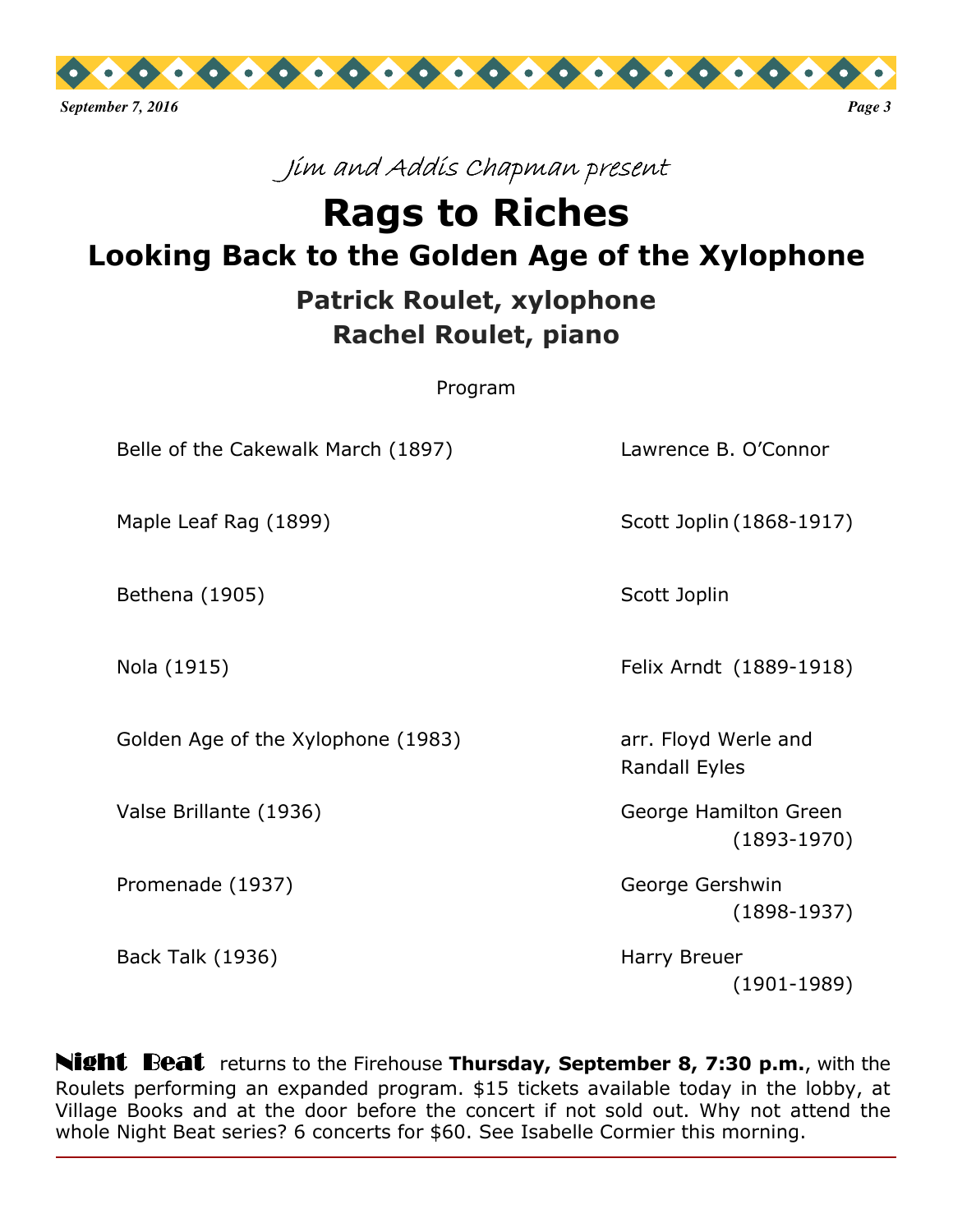

# Jim and Addis Chapman present

# **Rags to Riches Looking Back to the Golden Age of the Xylophone**

# **Patrick Roulet, xylophone Rachel Roulet, piano**

Program

Belle of the Cakewalk March (1897) Lawrence B. O'Connor

Maple Leaf Rag (1899) Scott Joplin (1868-1917)

Bethena (1905) Scott Joplin

Golden Age of the Xylophone (1983) The Marken Larent Ployd Werle and

Promenade (1937) George Gershwin

Back Talk (1936) **Harry Breuer** Harry Breuer

Nola (1915) Felix Arndt (1889-1918)

Randall Eyles

 Valse Brillante (1936) George Hamilton Green (1893-1970)

(1898-1937)

(1901-1989)

Night Beat returns to the Firehouse **Thursday, September 8, 7:30 p.m.**, with the Roulets performing an expanded program. \$15 tickets available today in the lobby, at Village Books and at the door before the concert if not sold out. Why not attend the whole Night Beat series? 6 concerts for \$60. See Isabelle Cormier this morning.